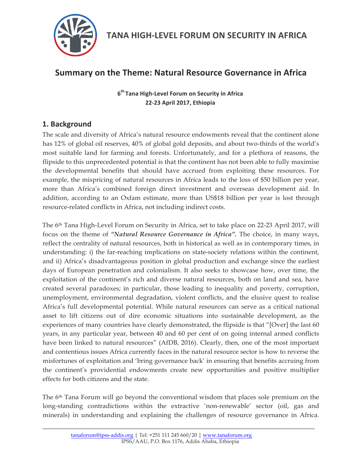

# **Summary on the Theme: Natural Resource Governance in Africa**

 $6<sup>th</sup>$  Tana High-Level Forum on Security in Africa **22-23 April 2017, Ethiopia**

## 1. Background

The scale and diversity of Africa's natural resource endowments reveal that the continent alone has 12% of global oil reserves, 40% of global gold deposits, and about two-thirds of the world's most suitable land for farming and forests. Unfortunately, and for a plethora of reasons, the flipside to this unprecedented potential is that the continent has not been able to fully maximise the developmental benefits that should have accrued from exploiting these resources. For example, the mispricing of natural resources in Africa leads to the loss of \$50 billion per year, more than Africa's combined foreign direct investment and overseas development aid. In addition, according to an Oxfam estimate, more than US\$18 billion per year is lost through resource-related conflicts in Africa, not including indirect costs.

The 6th Tana High-Level Forum on Security in Africa, set to take place on 22-23 April 2017, will focus on the theme of *"Natural Resource Governance in Africa".* The choice, in many ways, reflect the centrality of natural resources, both in historical as well as in contemporary times, in understanding: i) the far-reaching implications on state-society relations within the continent, and ii) Africa's disadvantageous position in global production and exchange since the earliest days of European penetration and colonialism. It also seeks to showcase how, over time, the exploitation of the continent's rich and diverse natural resources, both on land and sea, have created several paradoxes; in particular, those leading to inequality and poverty, corruption, unemployment, environmental degradation, violent conflicts, and the elusive quest to realise Africa's full developmental potential. While natural resources can serve as a critical national asset to lift citizens out of dire economic situations into sustainable development, as the experiences of many countries have clearly demonstrated, the flipside is that "[Over] the last 60 years, in any particular year, between 40 and 60 per cent of on going internal armed conflicts have been linked to natural resources" (AfDB, 2016). Clearly, then, one of the most important and contentious issues Africa currently faces in the natural resource sector is how to reverse the misfortunes of exploitation and 'bring governance back' in ensuring that benefits accruing from the continent's providential endowments create new opportunities and positive multiplier effects for both citizens and the state.

The 6th Tana Forum will go beyond the conventional wisdom that places sole premium on the long-standing contradictions within the extractive 'non-renewable' sector (oil, gas and minerals) in understanding and explaining the challenges of resource governance in Africa.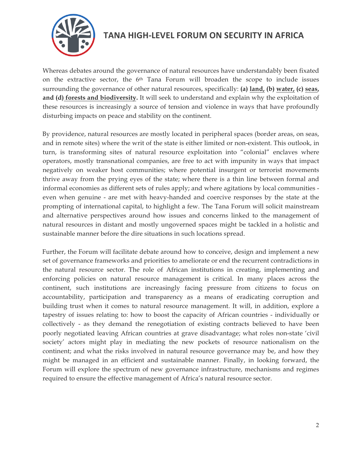

Whereas debates around the governance of natural resources have understandably been fixated on the extractive sector, the 6<sup>th</sup> Tana Forum will broaden the scope to include issues surrounding the governance of other natural resources, specifically: **(a) land, (b) water, (c) seas, and (d) forests and biodiversity.** It will seek to understand and explain why the exploitation of these resources is increasingly a source of tension and violence in ways that have profoundly disturbing impacts on peace and stability on the continent.

By providence, natural resources are mostly located in peripheral spaces (border areas, on seas, and in remote sites) where the writ of the state is either limited or non-existent. This outlook, in turn, is transforming sites of natural resource exploitation into "colonial" enclaves where operators, mostly transnational companies, are free to act with impunity in ways that impact negatively on weaker host communities; where potential insurgent or terrorist movements thrive away from the prying eyes of the state; where there is a thin line between formal and informal economies as different sets of rules apply; and where agitations by local communities even when genuine - are met with heavy-handed and coercive responses by the state at the prompting of international capital, to highlight a few. The Tana Forum will solicit mainstream and alternative perspectives around how issues and concerns linked to the management of natural resources in distant and mostly ungoverned spaces might be tackled in a holistic and sustainable manner before the dire situations in such locations spread.

Further, the Forum will facilitate debate around how to conceive, design and implement a new set of governance frameworks and priorities to ameliorate or end the recurrent contradictions in the natural resource sector. The role of African institutions in creating, implementing and enforcing policies on natural resource management is critical. In many places across the continent, such institutions are increasingly facing pressure from citizens to focus on accountability, participation and transparency as a means of eradicating corruption and building trust when it comes to natural resource management. It will, in addition, explore a tapestry of issues relating to: how to boost the capacity of African countries - individually or collectively - as they demand the renegotiation of existing contracts believed to have been poorly negotiated leaving African countries at grave disadvantage; what roles non-state 'civil society' actors might play in mediating the new pockets of resource nationalism on the continent; and what the risks involved in natural resource governance may be, and how they might be managed in an efficient and sustainable manner. Finally, in looking forward, the Forum will explore the spectrum of new governance infrastructure, mechanisms and regimes required to ensure the effective management of Africa's natural resource sector.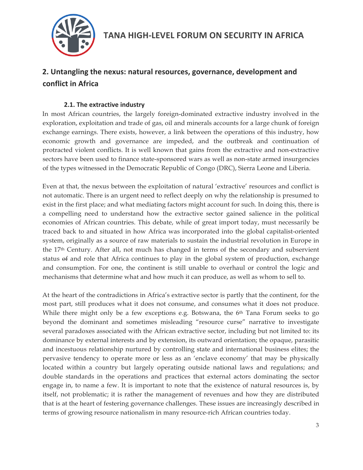

# **2.** Untangling the nexus: natural resources, governance, development and **conflict in Africa**

### **2.1. The extractive industry**

In most African countries, the largely foreign-dominated extractive industry involved in the exploration, exploitation and trade of gas, oil and minerals accounts for a large chunk of foreign exchange earnings. There exists, however, a link between the operations of this industry, how economic growth and governance are impeded, and the outbreak and continuation of protracted violent conflicts. It is well known that gains from the extractive and non-extractive sectors have been used to finance state-sponsored wars as well as non-state armed insurgencies of the types witnessed in the Democratic Republic of Congo (DRC), Sierra Leone and Liberia.

Even at that, the nexus between the exploitation of natural 'extractive' resources and conflict is not automatic. There is an urgent need to reflect deeply on why the relationship is presumed to exist in the first place; and what mediating factors might account for such. In doing this, there is a compelling need to understand how the extractive sector gained salience in the political economies of African countries. This debate, while of great import today, must necessarily be traced back to and situated in how Africa was incorporated into the global capitalist-oriented system, originally as a source of raw materials to sustain the industrial revolution in Europe in the 17th Century. After all, not much has changed in terms of the secondary and subservient status of and role that Africa continues to play in the global system of production, exchange and consumption. For one, the continent is still unable to overhaul or control the logic and mechanisms that determine what and how much it can produce, as well as whom to sell to.

At the heart of the contradictions in Africa's extractive sector is partly that the continent, for the most part, still produces what it does not consume, and consumes what it does not produce. While there might only be a few exceptions e.g. Botswana, the 6<sup>th</sup> Tana Forum seeks to go beyond the dominant and sometimes misleading "resource curse" narrative to investigate several paradoxes associated with the African extractive sector, including but not limited to: its dominance by external interests and by extension, its outward orientation; the opaque, parasitic and incestuous relationship nurtured by controlling state and international business elites; the pervasive tendency to operate more or less as an 'enclave economy' that may be physically located within a country but largely operating outside national laws and regulations; and double standards in the operations and practices that external actors dominating the sector engage in, to name a few. It is important to note that the existence of natural resources is, by itself, not problematic; it is rather the management of revenues and how they are distributed that is at the heart of festering governance challenges. These issues are increasingly described in terms of growing resource nationalism in many resource-rich African countries today.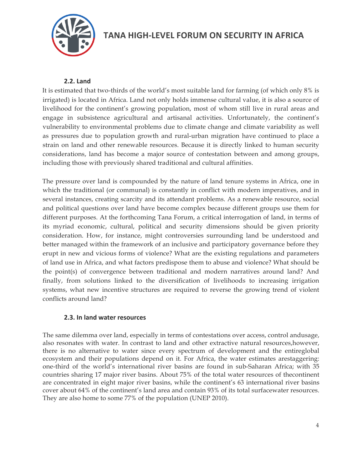

**TANA HIGH-LEVEL FORUM ON SECURITY IN AFRICA** 

### **2.2. Land**

It is estimated that two-thirds of the world's most suitable land for farming (of which only 8% is irrigated) is located in Africa. Land not only holds immense cultural value, it is also a source of livelihood for the continent's growing population, most of whom still live in rural areas and engage in subsistence agricultural and artisanal activities. Unfortunately, the continent's vulnerability to environmental problems due to climate change and climate variability as well as pressures due to population growth and rural-urban migration have continued to place a strain on land and other renewable resources. Because it is directly linked to human security considerations, land has become a major source of contestation between and among groups, including those with previously shared traditional and cultural affinities.

The pressure over land is compounded by the nature of land tenure systems in Africa, one in which the traditional (or communal) is constantly in conflict with modern imperatives, and in several instances, creating scarcity and its attendant problems. As a renewable resource, social and political questions over land have become complex because different groups use them for different purposes. At the forthcoming Tana Forum, a critical interrogation of land, in terms of its myriad economic, cultural, political and security dimensions should be given priority consideration. How, for instance, might controversies surrounding land be understood and better managed within the framework of an inclusive and participatory governance before they erupt in new and vicious forms of violence? What are the existing regulations and parameters of land use in Africa, and what factors predispose them to abuse and violence? What should be the point(s) of convergence between traditional and modern narratives around land? And finally, from solutions linked to the diversification of livelihoods to increasing irrigation systems, what new incentive structures are required to reverse the growing trend of violent conflicts around land?

### **2.3. In land water resources**

The same dilemma over land, especially in terms of contestations over access, control andusage, also resonates with water. In contrast to land and other extractive natural resources,however, there is no alternative to water since every spectrum of development and the entireglobal ecosystem and their populations depend on it. For Africa, the water estimates arestaggering: one-third of the world's international river basins are found in sub-Saharan Africa; with 35 countries sharing 17 major river basins. About 75% of the total water resources of thecontinent are concentrated in eight major river basins, while the continent's 63 international river basins cover about 64% of the continent's land area and contain 93% of its total surfacewater resources. They are also home to some 77% of the population (UNEP 2010).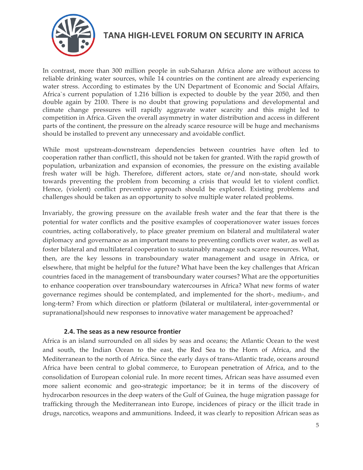

In contrast, more than 300 million people in sub-Saharan Africa alone are without access to reliable drinking water sources, while 14 countries on the continent are already experiencing water stress. According to estimates by the UN Department of Economic and Social Affairs, Africa`s current population of 1.216 billion is expected to double by the year 2050, and then double again by 2100. There is no doubt that growing populations and developmental and climate change pressures will rapidly aggravate water scarcity and this might led to competition in Africa. Given the overall asymmetry in water distribution and access in different parts of the continent, the pressure on the already scarce resource will be huge and mechanisms should be installed to prevent any unnecessary and avoidable conflict.

While most upstream-downstream dependencies between countries have often led to cooperation rather than conflict1, this should not be taken for granted. With the rapid growth of population, urbanization and expansion of economies, the pressure on the existing available fresh water will be high. Therefore, different actors, state or/and non-state, should work towards preventing the problem from becoming a crisis that would let to violent conflict. Hence, (violent) conflict preventive approach should be explored. Existing problems and challenges should be taken as an opportunity to solve multiple water related problems.

Invariably, the growing pressure on the available fresh water and the fear that there is the potential for water conflicts and the positive examples of cooperationover water issues forces countries, acting collaboratively, to place greater premium on bilateral and multilateral water diplomacy and governance as an important means to preventing conflicts over water, as well as foster bilateral and multilateral cooperation to sustainably manage such scarce resources. What, then, are the key lessons in transboundary water management and usage in Africa, or elsewhere, that might be helpful for the future? What have been the key challenges that African countries faced in the management of transboundary water courses? What are the opportunities to enhance cooperation over transboundary watercourses in Africa? What new forms of water governance regimes should be contemplated, and implemented for the short-, medium-, and long-term? From which direction or platform (bilateral or multilateral, inter-governmental or supranational)should new responses to innovative water management be approached?

#### **2.4.** The seas as a new resource frontier

Africa is an island surrounded on all sides by seas and oceans; the Atlantic Ocean to the west and south, the Indian Ocean to the east, the Red Sea to the Horn of Africa, and the Mediterranean to the north of Africa. Since the early days of trans-Atlantic trade, oceans around Africa have been central to global commerce, to European penetration of Africa, and to the consolidation of European colonial rule. In more recent times, African seas have assumed even more salient economic and geo-strategic importance; be it in terms of the discovery of hydrocarbon resources in the deep waters of the Gulf of Guinea, the huge migration passage for trafficking through the Mediterranean into Europe, incidences of piracy or the illicit trade in drugs, narcotics, weapons and ammunitions. Indeed, it was clearly to reposition African seas as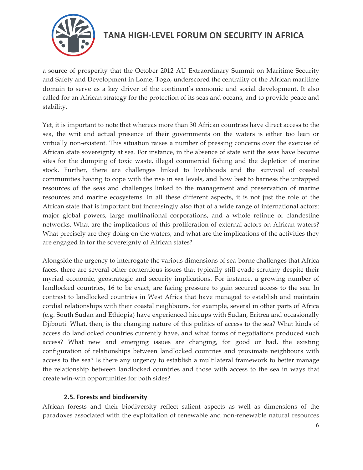

a source of prosperity that the October 2012 AU Extraordinary Summit on Maritime Security and Safety and Development in Lome, Togo, underscored the centrality of the African maritime domain to serve as a key driver of the continent's economic and social development. It also called for an African strategy for the protection of its seas and oceans, and to provide peace and stability.

Yet, it is important to note that whereas more than 30 African countries have direct access to the sea, the writ and actual presence of their governments on the waters is either too lean or virtually non-existent. This situation raises a number of pressing concerns over the exercise of African state sovereignty at sea. For instance, in the absence of state writ the seas have become sites for the dumping of toxic waste, illegal commercial fishing and the depletion of marine stock. Further, there are challenges linked to livelihoods and the survival of coastal communities having to cope with the rise in sea levels, and how best to harness the untapped resources of the seas and challenges linked to the management and preservation of marine resources and marine ecosystems. In all these different aspects, it is not just the role of the African state that is important but increasingly also that of a wide range of international actors: major global powers, large multinational corporations, and a whole retinue of clandestine networks. What are the implications of this proliferation of external actors on African waters? What precisely are they doing on the waters, and what are the implications of the activities they are engaged in for the sovereignty of African states?

Alongside the urgency to interrogate the various dimensions of sea-borne challenges that Africa faces, there are several other contentious issues that typically still evade scrutiny despite their myriad economic, geostrategic and security implications. For instance, a growing number of landlocked countries, 16 to be exact, are facing pressure to gain secured access to the sea. In contrast to landlocked countries in West Africa that have managed to establish and maintain cordial relationships with their coastal neighbours, for example, several in other parts of Africa (e.g. South Sudan and Ethiopia) have experienced hiccups with Sudan, Eritrea and occasionally Djibouti. What, then, is the changing nature of this politics of access to the sea? What kinds of access do landlocked countries currently have, and what forms of negotiations produced such access? What new and emerging issues are changing, for good or bad, the existing configuration of relationships between landlocked countries and proximate neighbours with access to the sea? Is there any urgency to establish a multilateral framework to better manage the relationship between landlocked countries and those with access to the sea in ways that create win-win opportunities for both sides?

#### **2.5. Forests and biodiversity**

African forests and their biodiversity reflect salient aspects as well as dimensions of the paradoxes associated with the exploitation of renewable and non-renewable natural resources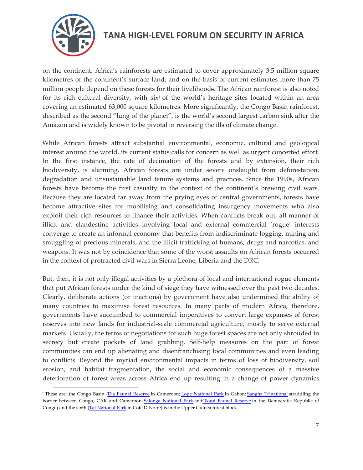

on the continent. Africa's rainforests are estimated to cover approximately 3.5 million square kilometres of the continent's surface land, and on the basis of current estimates more than 75 million people depend on these forests for their livelihoods. The African rainforest is also noted for its rich cultural diversity, with  $six^1$  of the world's heritage sites located within an area covering an estimated 63,000 square kilometres. More significantly, the Congo Basin rainforest, described as the second "lung of the planet", is the world's second largest carbon sink after the Amazon and is widely known to be pivotal in reversing the ills of climate change.

While African forests attract substantial environmental, economic, cultural and geological interest around the world, its current status calls for concern as well as urgent concerted effort. In the first instance, the rate of decimation of the forests and by extension, their rich biodiversity, is alarming. African forests are under severe onslaught from deforestation, degradation and unsustainable land tenure systems and practices. Since the 1990s, African forests have become the first casualty in the context of the continent's brewing civil wars. Because they are located far away from the prying eyes of central governments, forests have become attractive sites for mobilising and consolidating insurgency movements who also exploit their rich resources to finance their activities. When conflicts break out, all manner of illicit and clandestine activities involving local and external commercial 'rogue' interests converge to create an informal economy that benefits from indiscriminate logging, mining and smuggling of precious minerals, and the illicit trafficking of humans, drugs and narcotics, and weapons. It was not by coincidence that some of the worst assaults on African forests occurred in the context of protracted civil wars in Sierra Leone, Liberia and the DRC.

But, then, it is not only illegal activities by a plethora of local and international rogue elements that put African forests under the kind of siege they have witnessed over the past two decades. Clearly, deliberate actions (or inactions) by government have also undermined the ability of many countries to maximise forest resources. In many parts of modern Africa, therefore, governments have succumbed to commercial imperatives to convert large expanses of forest reserves into new lands for industrial-scale commercial agriculture, mostly to serve external markets. Usually, the terms of negotiations for such huge forest spaces are not only shrouded in secrecy but create pockets of land grabbing. Self-help measures on the part of forest communities can end up alienating and disenfranchising local communities and even leading to conflicts. Beyond the myriad environmental impacts in terms of loss of biodiversity, soil erosion, and habitat fragmentation, the social and economic consequences of a massive deterioration of forest areas across Africa end up resulting in a change of power dynamics

<sup>&</sup>lt;sup>1</sup> These are: the Congo Basin (Dja Faunal Reserve in Cameroon; Lope National Park in Gabon; Sangha Trinational straddling the border between Congo, CAR and Cameroon; Salonga National Park andOkapi Faunal Reserve in the Democratic Republic of Congo) and the sixth (Tai National Park in Cote D'Ivoire) is in the Upper Guinea forest block.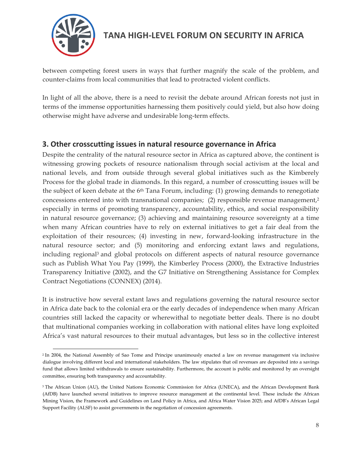

**TANA HIGH-LEVEL FORUM ON SECURITY IN AFRICA** 

between competing forest users in ways that further magnify the scale of the problem, and counter-claims from local communities that lead to protracted violent conflicts.

In light of all the above, there is a need to revisit the debate around African forests not just in terms of the immense opportunities harnessing them positively could yield, but also how doing otherwise might have adverse and undesirable long-term effects.

### **3. Other crosscutting issues in natural resource governance in Africa**

Despite the centrality of the natural resource sector in Africa as captured above, the continent is witnessing growing pockets of resource nationalism through social activism at the local and national levels, and from outside through several global initiatives such as the Kimberely Process for the global trade in diamonds. In this regard, a number of crosscutting issues will be the subject of keen debate at the 6<sup>th</sup> Tana Forum, including: (1) growing demands to renegotiate concessions entered into with transnational companies; (2) responsible revenue management,<sup>2</sup> especially in terms of promoting transparency, accountability, ethics, and social responsibility in natural resource governance; (3) achieving and maintaining resource sovereignty at a time when many African countries have to rely on external initiatives to get a fair deal from the exploitation of their resources; (4) investing in new, forward-looking infrastructure in the natural resource sector; and (5) monitoring and enforcing extant laws and regulations, including regional3 and global protocols on different aspects of natural resource governance such as Publish What You Pay (1999), the Kimberley Process (2000), the Extractive Industries Transparency Initiative (2002), and the G7 Initiative on Strengthening Assistance for Complex Contract Negotiations (CONNEX) (2014).

It is instructive how several extant laws and regulations governing the natural resource sector in Africa date back to the colonial era or the early decades of independence when many African countries still lacked the capacity or wherewithal to negotiate better deals. There is no doubt that multinational companies working in collaboration with national elites have long exploited Africa's vast natural resources to their mutual advantages, but less so in the collective interest

<sup>&</sup>lt;sup>2</sup> In 2004, the National Assembly of Sao Tome and Principe unanimously enacted a law on revenue management via inclusive dialogue involving different local and international stakeholders. The law stipulates that oil revenues are deposited into a savings fund that allows limited withdrawals to ensure sustainability. Furthermore, the account is public and monitored by an oversight committee, ensuring both transparency and accountability.

<sup>&</sup>lt;sup>3</sup> The African Union (AU), the United Nations Economic Commission for Africa (UNECA), and the African Development Bank (AfDB) have launched several initiatives to improve resource management at the continental level. These include the African Mining Vision, the Framework and Guidelines on Land Policy in Africa, and Africa Water Vision 2025; and AfDB's African Legal Support Facility (ALSF) to assist governments in the negotiation of concession agreements.